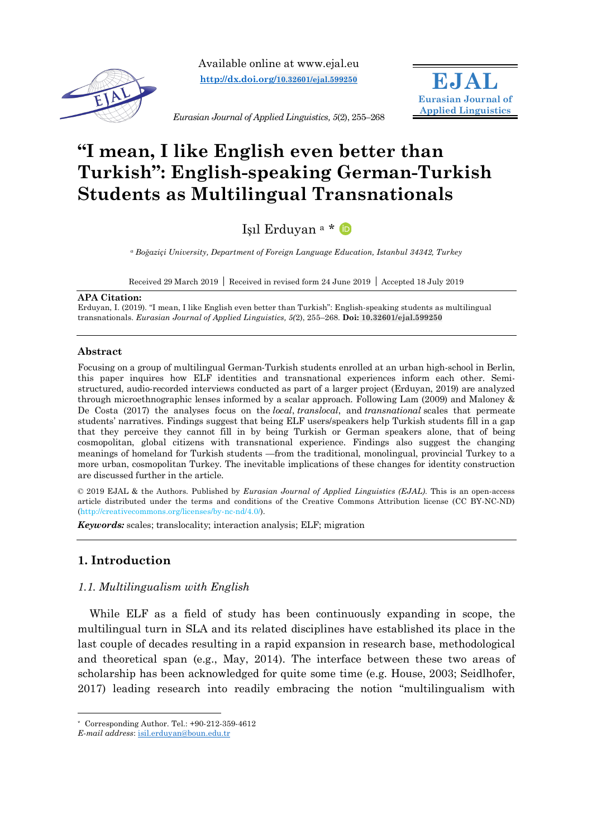

Available online at www.ejal.eu **http://dx.doi.org/10.32601/ejal.599250**



*Eurasian Journal of Applied Linguistics, 5*(2), 255–268

# **"I mean, I like English even better than Turkish": English-speaking German-Turkish Students as Multilingual Transnationals**

Işıl Erduyan <sup>a</sup> \*

*<sup>a</sup> Boğaziçi University, Department of Foreign Language Education, Istanbul 34342, Turkey*

Received 29 March 2019 Received in revised form 24 June 2019 Accepted 18 July 2019

#### **APA Citation:**

Erduyan, I. (2019). "I mean, I like English even better than Turkish": English-speaking students as multilingual transnationals. *Eurasian Journal of Applied Linguistics, 5(*2), 255–268. **Doi: 10.32601/ejal.599250**

## **Abstract**

Focusing on a group of multilingual German-Turkish students enrolled at an urban high-school in Berlin, this paper inquires how ELF identities and transnational experiences inform each other. Semistructured, audio-recorded interviews conducted as part of a larger project (Erduyan, 2019) are analyzed through microethnographic lenses informed by a scalar approach. Following Lam (2009) and Maloney & De Costa (2017) the analyses focus on the *local*, *translocal*, and *transnational* scales that permeate students' narratives. Findings suggest that being ELF users/speakers help Turkish students fill in a gap that they perceive they cannot fill in by being Turkish or German speakers alone, that of being cosmopolitan, global citizens with transnational experience. Findings also suggest the changing meanings of homeland for Turkish students —from the traditional, monolingual, provincial Turkey to a more urban, cosmopolitan Turkey. The inevitable implications of these changes for identity construction are discussed further in the article.

© 2019 EJAL & the Authors. Published by *Eurasian Journal of Applied Linguistics (EJAL)*. This is an open-access article distributed under the terms and conditions of the Creative Commons Attribution license (CC BY-NC-ND) (http://creativecommons.org/licenses/by-nc-nd/4.0/).

*Keywords:* scales; translocality; interaction analysis; ELF; migration

# **1. Introduction**

# *1.1. Multilingualism with English*

While ELF as a field of study has been continuously expanding in scope, the multilingual turn in SLA and its related disciplines have established its place in the last couple of decades resulting in a rapid expansion in research base, methodological and theoretical span (e.g., May, 2014). The interface between these two areas of scholarship has been acknowledged for quite some time (e.g. House, 2003; Seidlhofer, 2017) leading research into readily embracing the notion "multilingualism with

 $*$  Corresponding Author. Tel.:  $+90-212-359-4612$ 

*E-mail address*: isil.erduyan@boun.edu.tr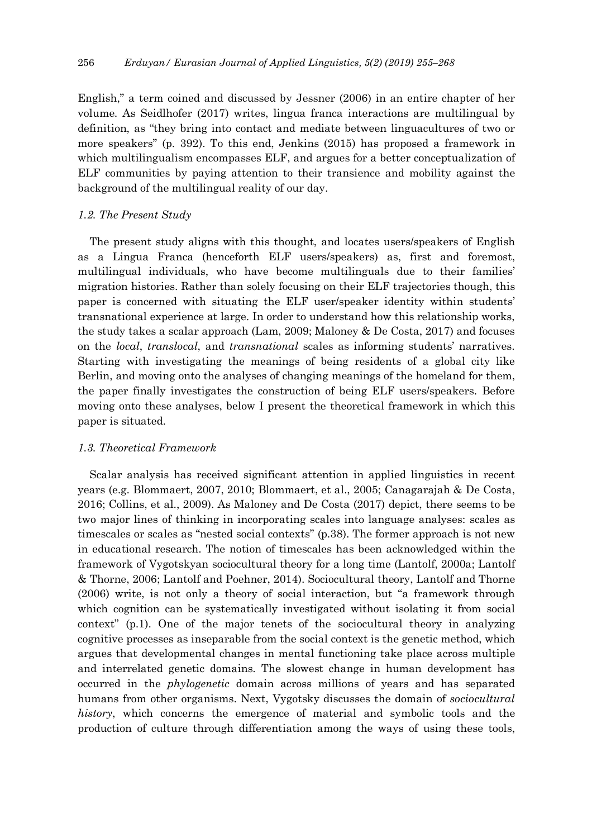English," a term coined and discussed by Jessner (2006) in an entire chapter of her volume. As Seidlhofer (2017) writes, lingua franca interactions are multilingual by definition, as "they bring into contact and mediate between linguacultures of two or more speakers" (p. 392). To this end, Jenkins (2015) has proposed a framework in which multilingualism encompasses ELF, and argues for a better conceptualization of ELF communities by paying attention to their transience and mobility against the background of the multilingual reality of our day.

## *1.2. The Present Study*

The present study aligns with this thought, and locates users/speakers of English as a Lingua Franca (henceforth ELF users/speakers) as, first and foremost, multilingual individuals, who have become multilinguals due to their families' migration histories. Rather than solely focusing on their ELF trajectories though, this paper is concerned with situating the ELF user/speaker identity within students' transnational experience at large. In order to understand how this relationship works, the study takes a scalar approach (Lam, 2009; Maloney & De Costa, 2017) and focuses on the *local*, *translocal*, and *transnational* scales as informing students' narratives. Starting with investigating the meanings of being residents of a global city like Berlin, and moving onto the analyses of changing meanings of the homeland for them, the paper finally investigates the construction of being ELF users/speakers. Before moving onto these analyses, below I present the theoretical framework in which this paper is situated.

## *1.3. Theoretical Framework*

Scalar analysis has received significant attention in applied linguistics in recent years (e.g. Blommaert, 2007, 2010; Blommaert, et al., 2005; Canagarajah & De Costa, 2016; Collins, et al., 2009). As Maloney and De Costa (2017) depict, there seems to be two major lines of thinking in incorporating scales into language analyses: scales as timescales or scales as "nested social contexts" (p.38). The former approach is not new in educational research. The notion of timescales has been acknowledged within the framework of Vygotskyan sociocultural theory for a long time (Lantolf, 2000a; Lantolf & Thorne, 2006; Lantolf and Poehner, 2014). Sociocultural theory, Lantolf and Thorne (2006) write, is not only a theory of social interaction, but "a framework through which cognition can be systematically investigated without isolating it from social context" (p.1). One of the major tenets of the sociocultural theory in analyzing cognitive processes as inseparable from the social context is the genetic method, which argues that developmental changes in mental functioning take place across multiple and interrelated genetic domains. The slowest change in human development has occurred in the *phylogenetic* domain across millions of years and has separated humans from other organisms. Next, Vygotsky discusses the domain of *sociocultural history*, which concerns the emergence of material and symbolic tools and the production of culture through differentiation among the ways of using these tools,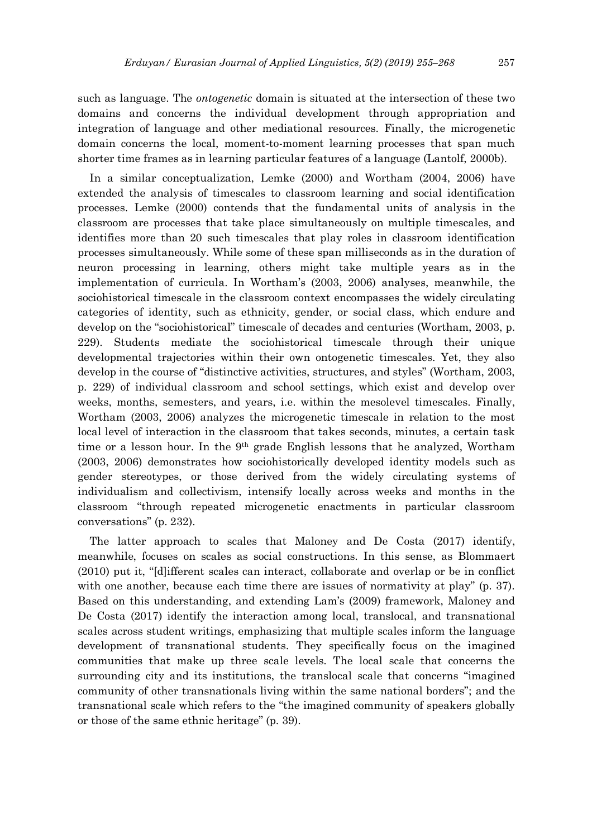such as language. The *ontogenetic* domain is situated at the intersection of these two domains and concerns the individual development through appropriation and integration of language and other mediational resources. Finally, the microgenetic domain concerns the local, moment-to-moment learning processes that span much shorter time frames as in learning particular features of a language (Lantolf, 2000b).

In a similar conceptualization, Lemke (2000) and Wortham (2004, 2006) have extended the analysis of timescales to classroom learning and social identification processes. Lemke (2000) contends that the fundamental units of analysis in the classroom are processes that take place simultaneously on multiple timescales, and identifies more than 20 such timescales that play roles in classroom identification processes simultaneously. While some of these span milliseconds as in the duration of neuron processing in learning, others might take multiple years as in the implementation of curricula. In Wortham's (2003, 2006) analyses, meanwhile, the sociohistorical timescale in the classroom context encompasses the widely circulating categories of identity, such as ethnicity, gender, or social class, which endure and develop on the "sociohistorical" timescale of decades and centuries (Wortham, 2003, p. 229). Students mediate the sociohistorical timescale through their unique developmental trajectories within their own ontogenetic timescales. Yet, they also develop in the course of "distinctive activities, structures, and styles" (Wortham, 2003, p. 229) of individual classroom and school settings, which exist and develop over weeks, months, semesters, and years, i.e. within the mesolevel timescales. Finally, Wortham (2003, 2006) analyzes the microgenetic timescale in relation to the most local level of interaction in the classroom that takes seconds, minutes, a certain task time or a lesson hour. In the 9<sup>th</sup> grade English lessons that he analyzed, Wortham (2003, 2006) demonstrates how sociohistorically developed identity models such as gender stereotypes, or those derived from the widely circulating systems of individualism and collectivism, intensify locally across weeks and months in the classroom "through repeated microgenetic enactments in particular classroom conversations" (p. 232).

The latter approach to scales that Maloney and De Costa (2017) identify, meanwhile, focuses on scales as social constructions. In this sense, as Blommaert (2010) put it, "[d]ifferent scales can interact, collaborate and overlap or be in conflict with one another, because each time there are issues of normativity at play" (p. 37). Based on this understanding, and extending Lam's (2009) framework, Maloney and De Costa (2017) identify the interaction among local, translocal, and transnational scales across student writings, emphasizing that multiple scales inform the language development of transnational students. They specifically focus on the imagined communities that make up three scale levels. The local scale that concerns the surrounding city and its institutions, the translocal scale that concerns "imagined community of other transnationals living within the same national borders"; and the transnational scale which refers to the "the imagined community of speakers globally or those of the same ethnic heritage" (p. 39).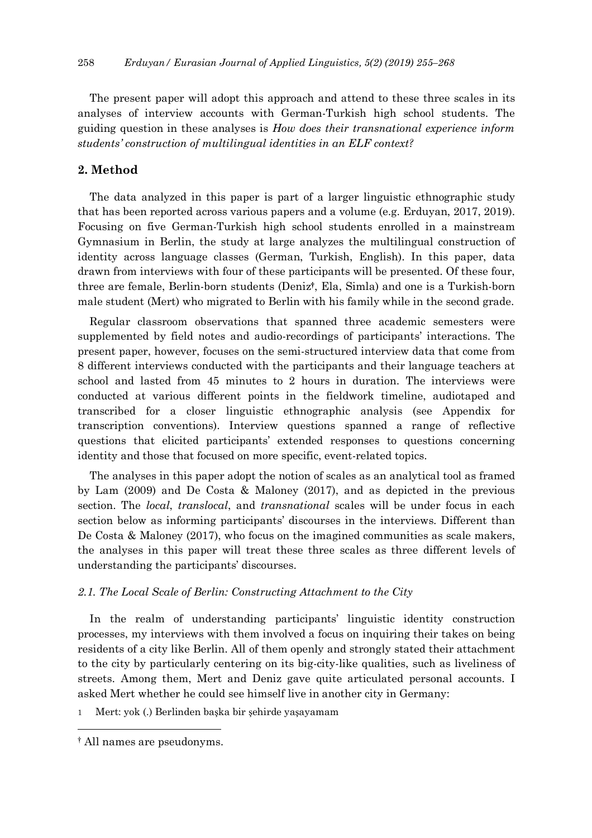The present paper will adopt this approach and attend to these three scales in its analyses of interview accounts with German-Turkish high school students. The guiding question in these analyses is *How does their transnational experience inform students' construction of multilingual identities in an ELF context?*

# **2. Method**

The data analyzed in this paper is part of a larger linguistic ethnographic study that has been reported across various papers and a volume (e.g. Erduyan, 2017, 2019). Focusing on five German-Turkish high school students enrolled in a mainstream Gymnasium in Berlin, the study at large analyzes the multilingual construction of identity across language classes (German, Turkish, English). In this paper, data drawn from interviews with four of these participants will be presented. Of these four, three are female, Berlin-born students (Deniz**†**, Ela, Simla) and one is a Turkish-born male student (Mert) who migrated to Berlin with his family while in the second grade.

Regular classroom observations that spanned three academic semesters were supplemented by field notes and audio-recordings of participants' interactions. The present paper, however, focuses on the semi-structured interview data that come from 8 different interviews conducted with the participants and their language teachers at school and lasted from 45 minutes to 2 hours in duration. The interviews were conducted at various different points in the fieldwork timeline, audiotaped and transcribed for a closer linguistic ethnographic analysis (see Appendix for transcription conventions). Interview questions spanned a range of reflective questions that elicited participants' extended responses to questions concerning identity and those that focused on more specific, event-related topics.

The analyses in this paper adopt the notion of scales as an analytical tool as framed by Lam (2009) and De Costa & Maloney (2017), and as depicted in the previous section. The *local*, *translocal*, and *transnational* scales will be under focus in each section below as informing participants' discourses in the interviews. Different than De Costa & Maloney (2017), who focus on the imagined communities as scale makers, the analyses in this paper will treat these three scales as three different levels of understanding the participants' discourses.

## *2.1. The Local Scale of Berlin: Constructing Attachment to the City*

In the realm of understanding participants' linguistic identity construction processes, my interviews with them involved a focus on inquiring their takes on being residents of a city like Berlin. All of them openly and strongly stated their attachment to the city by particularly centering on its big-city-like qualities, such as liveliness of streets. Among them, Mert and Deniz gave quite articulated personal accounts. I asked Mert whether he could see himself live in another city in Germany:

1 Mert: yok (.) Berlinden başka bir şehirde yaşayamam

 <sup>†</sup> All names are pseudonyms.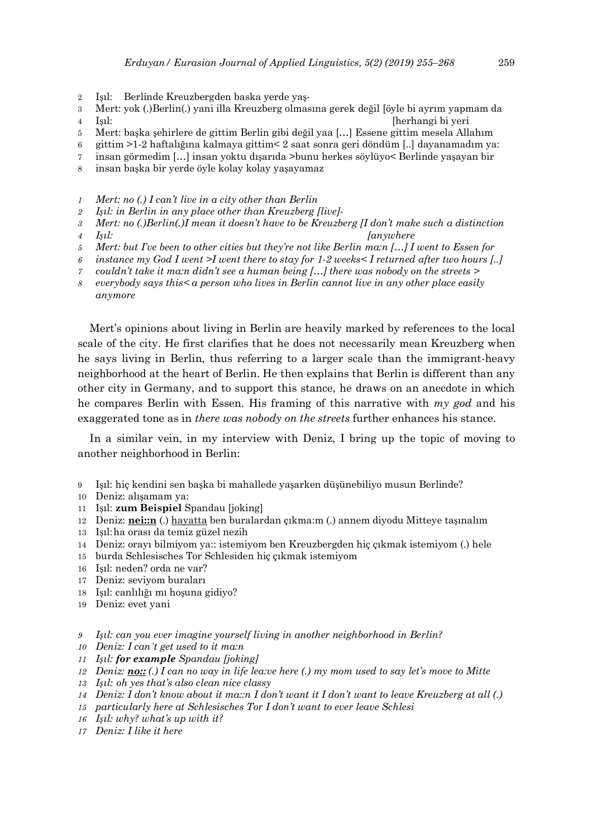- Işıl: Berlinde Kreuzbergden baska yerde yaş-
- Mert: yok (.)Berlin(.) yani illa Kreuzberg olmasına gerek değil [öyle bi ayrım yapmam da
- Işıl: [herhangi bi yeri
- Mert: başka şehirlere de gittim Berlin gibi değil yaa […] Essene gittim mesela Allahım
- gittim >1-2 haftalığına kalmaya gittim< 2 saat sonra geri döndüm [..] dayanamadım ya:
- insan görmedim […] insan yoktu dışarıda >bunu herkes söylüyo< Berlinde yaşayan bir
- insan başka bir yerde öyle kolay kolay yaşayamaz
- *Mert: no (.) I can't live in a city other than Berlin*
- *Işıl: in Berlin in any place other than Kreuzberg [live]-*
- *Mert: no (.)Berlin(.)I mean it doesn't have to be Kreuzberg [I don't make such a distinction*
- *Işıl: [anywhere*
- *Mert: but I've been to other cities but they're not like Berlin ma:n […] I went to Essen for*
- *instance my God I went >I went there to stay for 1-2 weeks< I returned after two hours [..]*
- *couldn't take it ma:n didn't see a human being […] there was nobody on the streets >*
- *everybody says this< a person who lives in Berlin cannot live in any other place easily anymore*

Mert's opinions about living in Berlin are heavily marked by references to the local scale of the city. He first clarifies that he does not necessarily mean Kreuzberg when he says living in Berlin, thus referring to a larger scale than the immigrant-heavy neighborhood at the heart of Berlin. He then explains that Berlin is different than any other city in Germany, and to support this stance, he draws on an anecdote in which he compares Berlin with Essen. His framing of this narrative with *my god* and his exaggerated tone as in *there was nobody on the streets* further enhances his stance.

In a similar vein, in my interview with Deniz, I bring up the topic of moving to another neighborhood in Berlin:

- Işıl: hiç kendini sen başka bi mahallede yaşarken düşünebiliyo musun Berlinde?
- Deniz: alışamam ya:
- Işıl: **zum Beispiel** Spandau [joking]
- Deniz: **nei::n** (.) hayatta ben buralardan çıkma:m (.) annem diyodu Mitteye taşınalım
- Işıl:ha orası da temiz güzel nezih
- Deniz: orayı bilmiyom ya:: istemiyom ben Kreuzbergden hiç çıkmak istemiyom (.) hele
- burda Schlesisches Tor Schlesiden hiç çıkmak istemiyom
- Işıl: neden? orda ne var?
- Deniz: seviyom buraları
- Işıl: canlılığı mı hoşuna gidiyo?
- Deniz: evet yani
- *Işıl: can you ever imagine yourself living in another neighborhood in Berlin?*
- *Deniz: I can't get used to it ma:n*
- *Işıl: for example Spandau [joking]*
- *Deniz: no:: (.) I can no way in life lea:ve here (.) my mom used to say let's move to Mitte*
- *Işıl: oh yes that's also clean nice classy*
- *Deniz: I don't know about it ma::n I don't want it I don't want to leave Kreuzberg at all (.)*
- *particularly here at Schlesisches Tor I don't want to ever leave Schlesi*
- *Işıl: why? what's up with it?*
- *Deniz: I like it here*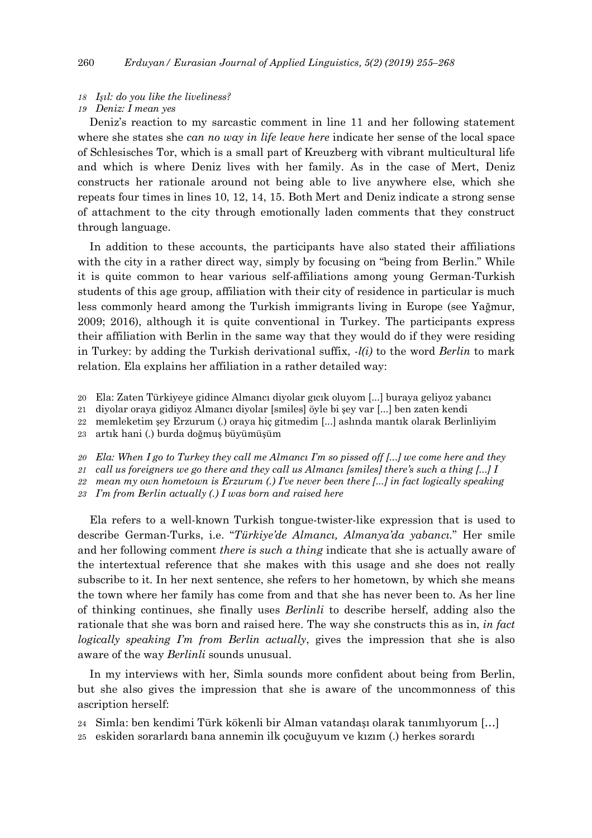#### *18 Işıl: do you like the liveliness?*

#### *19 Deniz: I mean yes*

Deniz's reaction to my sarcastic comment in line 11 and her following statement where she states she *can no way in life leave here* indicate her sense of the local space of Schlesisches Tor, which is a small part of Kreuzberg with vibrant multicultural life and which is where Deniz lives with her family. As in the case of Mert, Deniz constructs her rationale around not being able to live anywhere else, which she repeats four times in lines 10, 12, 14, 15. Both Mert and Deniz indicate a strong sense of attachment to the city through emotionally laden comments that they construct through language.

In addition to these accounts, the participants have also stated their affiliations with the city in a rather direct way, simply by focusing on "being from Berlin." While it is quite common to hear various self-affiliations among young German-Turkish students of this age group, affiliation with their city of residence in particular is much less commonly heard among the Turkish immigrants living in Europe (see Yağmur, 2009; 2016), although it is quite conventional in Turkey. The participants express their affiliation with Berlin in the same way that they would do if they were residing in Turkey: by adding the Turkish derivational suffix, *-l(i)* to the word *Berlin* to mark relation. Ela explains her affiliation in a rather detailed way:

20 Ela: Zaten Türkiyeye gidince Almancı diyolar gıcık oluyom [...] buraya geliyoz yabancı

21 diyolar oraya gidiyoz Almancı diyolar [smiles] öyle bi şey var [...] ben zaten kendi

22 memleketim şey Erzurum (.) oraya hiç gitmedim [...] aslında mantık olarak Berlinliyim

23 artık hani (.) burda doğmuş büyümüşüm

*20 Ela: When I go to Turkey they call me Almancı I'm so pissed off [...] we come here and they*

*21 call us foreigners we go there and they call us Almancı [smiles] there's such a thing [...] I*

*22 mean my own hometown is Erzurum (.) I've never been there [...] in fact logically speaking*

*23 I'm from Berlin actually (.) I was born and raised here*

Ela refers to a well-known Turkish tongue-twister-like expression that is used to describe German-Turks, i.e. "*Türkiye'de Almancı, Almanya'da yabancı.*" Her smile and her following comment *there is such a thing* indicate that she is actually aware of the intertextual reference that she makes with this usage and she does not really subscribe to it. In her next sentence, she refers to her hometown, by which she means the town where her family has come from and that she has never been to. As her line of thinking continues, she finally uses *Berlinli* to describe herself, adding also the rationale that she was born and raised here. The way she constructs this as in, *in fact logically speaking I'm from Berlin actually*, gives the impression that she is also aware of the way *Berlinli* sounds unusual.

In my interviews with her, Simla sounds more confident about being from Berlin, but she also gives the impression that she is aware of the uncommonness of this ascription herself:

24 Simla: ben kendimi Türk kökenli bir Alman vatandaşı olarak tanımlıyorum […]

25 eskiden sorarlardı bana annemin ilk çocuğuyum ve kızım (.) herkes sorardı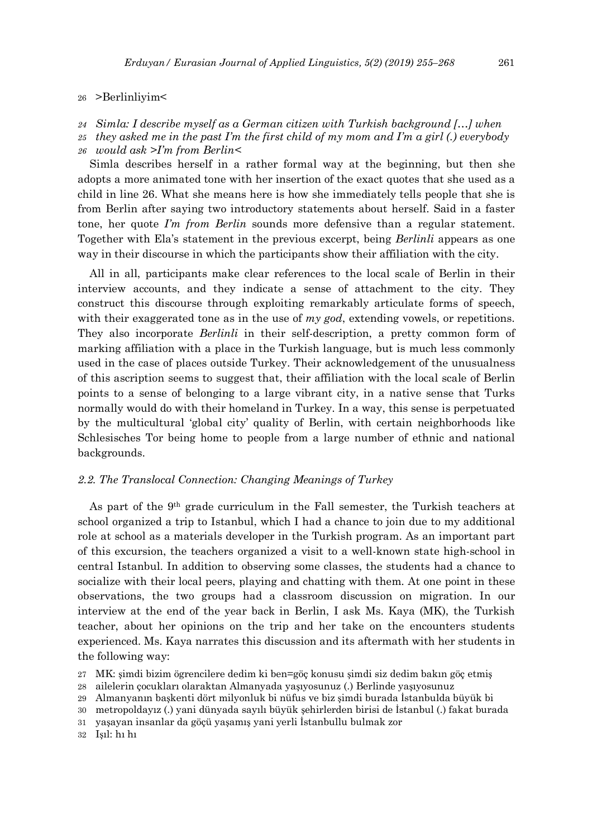26 >Berlinliyim<

*24 Simla: I describe myself as a German citizen with Turkish background […] when*

- *25 they asked me in the past I'm the first child of my mom and I'm a girl (.) everybody*
- *26 would ask >I'm from Berlin<*

Simla describes herself in a rather formal way at the beginning, but then she adopts a more animated tone with her insertion of the exact quotes that she used as a child in line 26. What she means here is how she immediately tells people that she is from Berlin after saying two introductory statements about herself. Said in a faster tone, her quote *I'm from Berlin* sounds more defensive than a regular statement. Together with Ela's statement in the previous excerpt, being *Berlinli* appears as one way in their discourse in which the participants show their affiliation with the city.

All in all, participants make clear references to the local scale of Berlin in their interview accounts, and they indicate a sense of attachment to the city. They construct this discourse through exploiting remarkably articulate forms of speech, with their exaggerated tone as in the use of *my god*, extending vowels, or repetitions. They also incorporate *Berlinli* in their self-description, a pretty common form of marking affiliation with a place in the Turkish language, but is much less commonly used in the case of places outside Turkey. Their acknowledgement of the unusualness of this ascription seems to suggest that, their affiliation with the local scale of Berlin points to a sense of belonging to a large vibrant city, in a native sense that Turks normally would do with their homeland in Turkey. In a way, this sense is perpetuated by the multicultural 'global city' quality of Berlin, with certain neighborhoods like Schlesisches Tor being home to people from a large number of ethnic and national backgrounds.

### *2.2. The Translocal Connection: Changing Meanings of Turkey*

As part of the 9th grade curriculum in the Fall semester, the Turkish teachers at school organized a trip to Istanbul, which I had a chance to join due to my additional role at school as a materials developer in the Turkish program. As an important part of this excursion, the teachers organized a visit to a well-known state high-school in central Istanbul. In addition to observing some classes, the students had a chance to socialize with their local peers, playing and chatting with them. At one point in these observations, the two groups had a classroom discussion on migration. In our interview at the end of the year back in Berlin, I ask Ms. Kaya (MK), the Turkish teacher, about her opinions on the trip and her take on the encounters students experienced. Ms. Kaya narrates this discussion and its aftermath with her students in the following way:

- 27 MK: şimdi bizim ögrencilere dedim ki ben=göç konusu şimdi siz dedim bakın göç etmiş
- 28 ailelerin çocukları olaraktan Almanyada yaşıyosunuz (.) Berlinde yaşıyosunuz
- 29 Almanyanın başkenti dört milyonluk bi nüfus ve biz şimdi burada İstanbulda büyük bi
- 30 metropoldayız (.) yani dünyada sayılı büyük şehirlerden birisi de İstanbul (.) fakat burada
- 31 yaşayan insanlar da göçü yaşamış yani yerli İstanbullu bulmak zor

32 Işıl: hı hı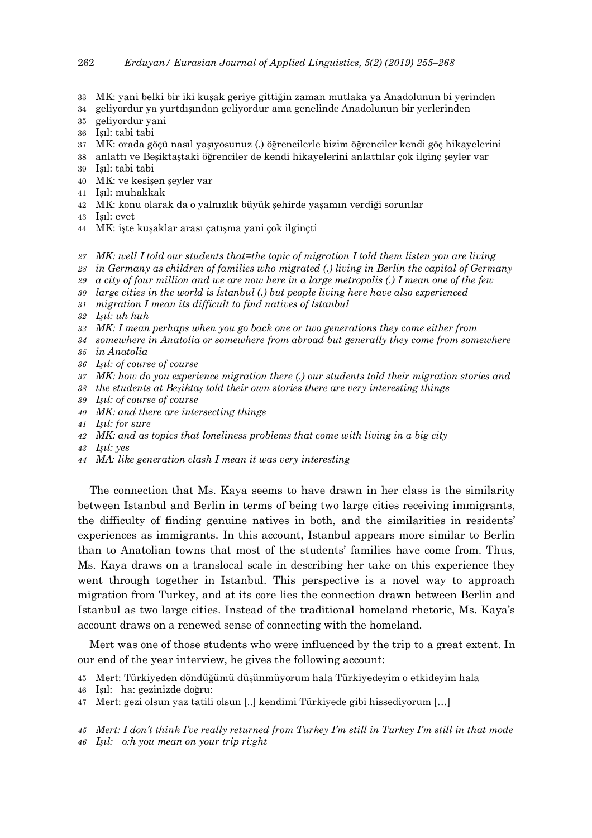- MK: yani belki bir iki kuşak geriye gittiğin zaman mutlaka ya Anadolunun bi yerinden
- geliyordur ya yurtdışından geliyordur ama genelinde Anadolunun bir yerlerinden
- geliyordur yani
- Işıl: tabi tabi
- MK: orada göçü nasıl yaşıyosunuz (.) öğrencilerle bizim öğrenciler kendi göç hikayelerini
- anlattı ve Beşiktaştaki öğrenciler de kendi hikayelerini anlattılar çok ilginç şeyler var
- Işıl: tabi tabi
- MK: ve kesişen şeyler var
- Işıl: muhakkak
- MK: konu olarak da o yalnızlık büyük şehirde yaşamın verdiği sorunlar
- Işıl: evet
- MK: işte kuşaklar arası çatışma yani çok ilginçti
- *MK: well I told our students that=the topic of migration I told them listen you are living*
- *in Germany as children of families who migrated (.) living in Berlin the capital of Germany*
- *a city of four million and we are now here in a large metropolis (.) I mean one of the few*
- *large cities in the world is İstanbul (.) but people living here have also experienced*
- *migration I mean its difficult to find natives of İstanbul*
- *Işıl: uh huh*
- *MK: I mean perhaps when you go back one or two generations they come either from*
- *somewhere in Anatolia or somewhere from abroad but generally they come from somewhere*
- *in Anatolia*
- *Işıl: of course of course*
- *MK: how do you experience migration there (.) our students told their migration stories and*
- *the students at Beşiktaş told their own stories there are very interesting things*
- *Işıl: of course of course*
- *MK: and there are intersecting things*
- *Işıl: for sure*
- *MK: and as topics that loneliness problems that come with living in a big city*
- *Işıl: yes*
- *MA: like generation clash I mean it was very interesting*

The connection that Ms. Kaya seems to have drawn in her class is the similarity between Istanbul and Berlin in terms of being two large cities receiving immigrants, the difficulty of finding genuine natives in both, and the similarities in residents' experiences as immigrants. In this account, Istanbul appears more similar to Berlin than to Anatolian towns that most of the students' families have come from. Thus, Ms. Kaya draws on a translocal scale in describing her take on this experience they went through together in Istanbul. This perspective is a novel way to approach migration from Turkey, and at its core lies the connection drawn between Berlin and Istanbul as two large cities. Instead of the traditional homeland rhetoric, Ms. Kaya's account draws on a renewed sense of connecting with the homeland.

Mert was one of those students who were influenced by the trip to a great extent. In our end of the year interview, he gives the following account:

- Mert: Türkiyeden döndüğümü düşünmüyorum hala Türkiyedeyim o etkideyim hala
- Işıl: ha: gezinizde doğru:
- Mert: gezi olsun yaz tatili olsun [..] kendimi Türkiyede gibi hissediyorum […]

 *Mert: I don't think I've really returned from Turkey I'm still in Turkey I'm still in that mode Işıl: o:h you mean on your trip ri:ght*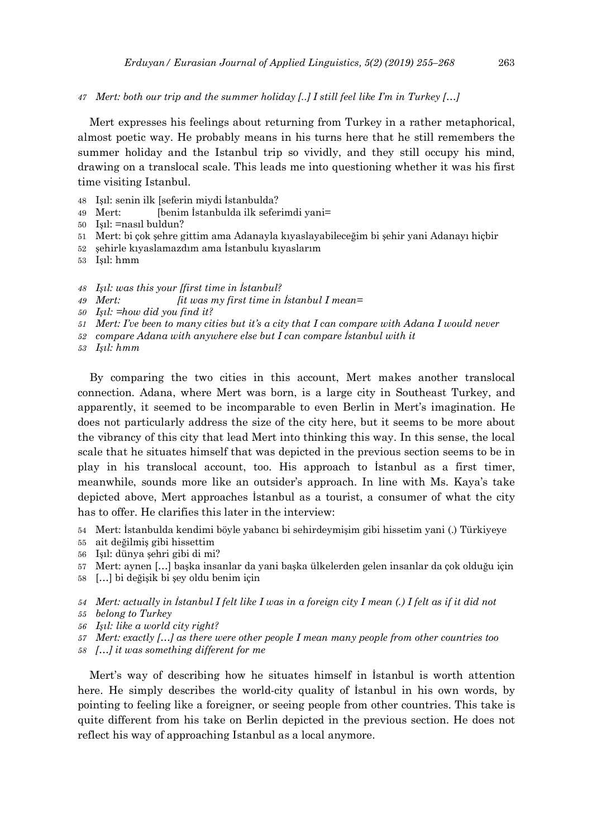*47 Mert: both our trip and the summer holiday [..] I still feel like I'm in Turkey […]*

Mert expresses his feelings about returning from Turkey in a rather metaphorical, almost poetic way. He probably means in his turns here that he still remembers the summer holiday and the Istanbul trip so vividly, and they still occupy his mind, drawing on a translocal scale. This leads me into questioning whether it was his first time visiting Istanbul.

- 48 Işıl: senin ilk [seferin miydi İstanbulda?
- 49 Mert: [benim İstanbulda ilk seferimdi yani=
- 50 Işıl: =nasıl buldun?
- 51 Mert: bi çok şehre gittim ama Adanayla kıyaslayabileceğim bi şehir yani Adanayı hiçbir
- 52 şehirle kıyaslamazdım ama İstanbulu kıyaslarım
- 53 Işıl: hmm
- *48 Işıl: was this your [first time in İstanbul?*
- *49 Mert: [it was my first time in İstanbul I mean=*
- *50 Işıl: =how did you find it?*
- *51 Mert: I've been to many cities but it's a city that I can compare with Adana I would never*
- *52 compare Adana with anywhere else but I can compare İstanbul with it*
- *53 Işıl: hmm*

By comparing the two cities in this account, Mert makes another translocal connection. Adana, where Mert was born, is a large city in Southeast Turkey, and apparently, it seemed to be incomparable to even Berlin in Mert's imagination. He does not particularly address the size of the city here, but it seems to be more about the vibrancy of this city that lead Mert into thinking this way. In this sense, the local scale that he situates himself that was depicted in the previous section seems to be in play in his translocal account, too. His approach to İstanbul as a first timer, meanwhile, sounds more like an outsider's approach. In line with Ms. Kaya's take depicted above, Mert approaches İstanbul as a tourist, a consumer of what the city has to offer. He clarifies this later in the interview:

- 54 Mert: İstanbulda kendimi böyle yabancı bi sehirdeymişim gibi hissetim yani (.) Türkiyeye
- 55 ait değilmiş gibi hissettim
- 56 Işıl: dünya şehri gibi di mi?
- 57 Mert: aynen […] başka insanlar da yani başka ülkelerden gelen insanlar da çok olduğu için
- 58 […] bi değişik bi şey oldu benim için
- *54 Mert: actually in İstanbul I felt like I was in a foreign city I mean (.) I felt as if it did not*
- *55 belong to Turkey*
- *56 Işıl: like a world city right?*
- *57 Mert: exactly […] as there were other people I mean many people from other countries too*
- *58 […] it was something different for me*

Mert's way of describing how he situates himself in İstanbul is worth attention here. He simply describes the world-city quality of İstanbul in his own words, by pointing to feeling like a foreigner, or seeing people from other countries. This take is quite different from his take on Berlin depicted in the previous section. He does not reflect his way of approaching Istanbul as a local anymore.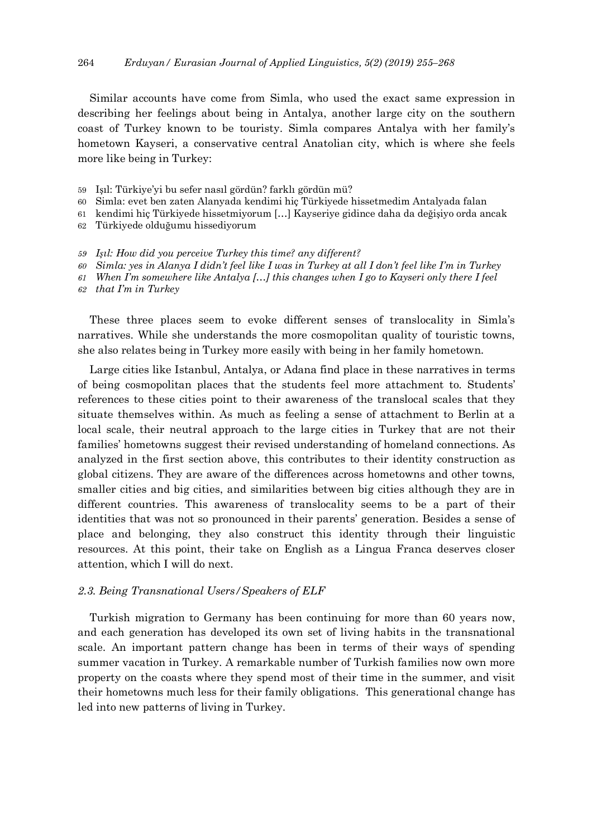Similar accounts have come from Simla, who used the exact same expression in describing her feelings about being in Antalya, another large city on the southern coast of Turkey known to be touristy. Simla compares Antalya with her family's hometown Kayseri, a conservative central Anatolian city, which is where she feels more like being in Turkey:

- 59 Işıl: Türkiye'yi bu sefer nasıl gördün? farklı gördün mü?
- 60 Simla: evet ben zaten Alanyada kendimi hiç Türkiyede hissetmedim Antalyada falan
- 61 kendimi hiç Türkiyede hissetmiyorum […] Kayseriye gidince daha da değişiyo orda ancak
- 62 Türkiyede olduğumu hissediyorum
- *59 Işıl: How did you perceive Turkey this time? any different?*
- *60 Simla: yes in Alanya I didn't feel like I was in Turkey at all I don't feel like I'm in Turkey*
- *61 When I'm somewhere like Antalya […] this changes when I go to Kayseri only there I feel*
- *62 that I'm in Turkey*

These three places seem to evoke different senses of translocality in Simla's narratives. While she understands the more cosmopolitan quality of touristic towns, she also relates being in Turkey more easily with being in her family hometown.

Large cities like Istanbul, Antalya, or Adana find place in these narratives in terms of being cosmopolitan places that the students feel more attachment to. Students' references to these cities point to their awareness of the translocal scales that they situate themselves within. As much as feeling a sense of attachment to Berlin at a local scale, their neutral approach to the large cities in Turkey that are not their families' hometowns suggest their revised understanding of homeland connections. As analyzed in the first section above, this contributes to their identity construction as global citizens. They are aware of the differences across hometowns and other towns, smaller cities and big cities, and similarities between big cities although they are in different countries. This awareness of translocality seems to be a part of their identities that was not so pronounced in their parents' generation. Besides a sense of place and belonging, they also construct this identity through their linguistic resources. At this point, their take on English as a Lingua Franca deserves closer attention, which I will do next.

### *2.3. Being Transnational Users/Speakers of ELF*

Turkish migration to Germany has been continuing for more than 60 years now, and each generation has developed its own set of living habits in the transnational scale. An important pattern change has been in terms of their ways of spending summer vacation in Turkey. A remarkable number of Turkish families now own more property on the coasts where they spend most of their time in the summer, and visit their hometowns much less for their family obligations. This generational change has led into new patterns of living in Turkey.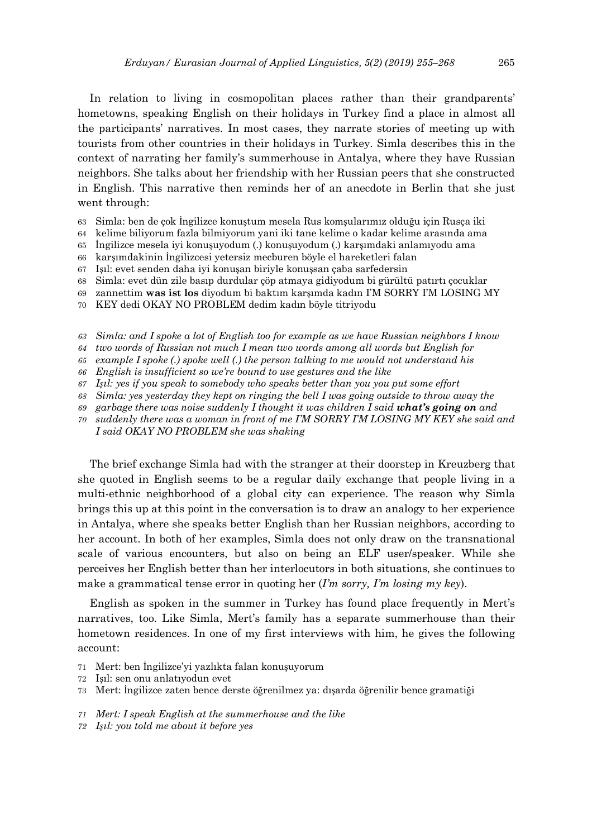In relation to living in cosmopolitan places rather than their grandparents' hometowns, speaking English on their holidays in Turkey find a place in almost all the participants' narratives. In most cases, they narrate stories of meeting up with tourists from other countries in their holidays in Turkey. Simla describes this in the context of narrating her family's summerhouse in Antalya, where they have Russian neighbors. She talks about her friendship with her Russian peers that she constructed in English. This narrative then reminds her of an anecdote in Berlin that she just went through:

- 63 Simla: ben de çok İngilizce konuştum mesela Rus komşularımız olduğu için Rusça iki
- 64 kelime biliyorum fazla bilmiyorum yani iki tane kelime o kadar kelime arasında ama
- 65 İngilizce mesela iyi konuşuyodum (.) konuşuyodum (.) karşımdaki anlamıyodu ama
- 66 karşımdakinin İngilizcesi yetersiz mecburen böyle el hareketleri falan
- 67 Işıl: evet senden daha iyi konuşan biriyle konuşsan çaba sarfedersin
- 68 Simla: evet dün zile basıp durdular çöp atmaya gidiyodum bi gürültü patırtı çocuklar
- 69 zannettim **was ist los** diyodum bi baktım karşımda kadın I'M SORRY I'M LOSING MY
- 70 KEY dedi OKAY NO PROBLEM dedim kadın böyle titriyodu
- *63 Simla: and I spoke a lot of English too for example as we have Russian neighbors I know*
- *64 two words of Russian not much I mean two words among all words but English for*
- *65 example I spoke (.) spoke well (.) the person talking to me would not understand his*
- *66 English is insufficient so we're bound to use gestures and the like*
- *67 Işıl: yes if you speak to somebody who speaks better than you you put some effort*
- *68 Simla: yes yesterday they kept on ringing the bell I was going outside to throw away the*
- *69 garbage there was noise suddenly I thought it was children I said what's going on and*
- *70 suddenly there was a woman in front of me I'M SORRY I'M LOSING MY KEY she said and I said OKAY NO PROBLEM she was shaking*

The brief exchange Simla had with the stranger at their doorstep in Kreuzberg that she quoted in English seems to be a regular daily exchange that people living in a multi-ethnic neighborhood of a global city can experience. The reason why Simla brings this up at this point in the conversation is to draw an analogy to her experience in Antalya, where she speaks better English than her Russian neighbors, according to her account. In both of her examples, Simla does not only draw on the transnational scale of various encounters, but also on being an ELF user/speaker. While she perceives her English better than her interlocutors in both situations, she continues to make a grammatical tense error in quoting her (*I'm sorry, I'm losing my key*).

English as spoken in the summer in Turkey has found place frequently in Mert's narratives, too. Like Simla, Mert's family has a separate summerhouse than their hometown residences. In one of my first interviews with him, he gives the following account:

- 71 Mert: ben İngilizce'yi yazlıkta falan konuşuyorum
- 72 Işıl: sen onu anlatıyodun evet
- 73 Mert: İngilizce zaten bence derste öğrenilmez ya: dışarda öğrenilir bence gramatiği
- *71 Mert: I speak English at the summerhouse and the like*
- *72 Işıl: you told me about it before yes*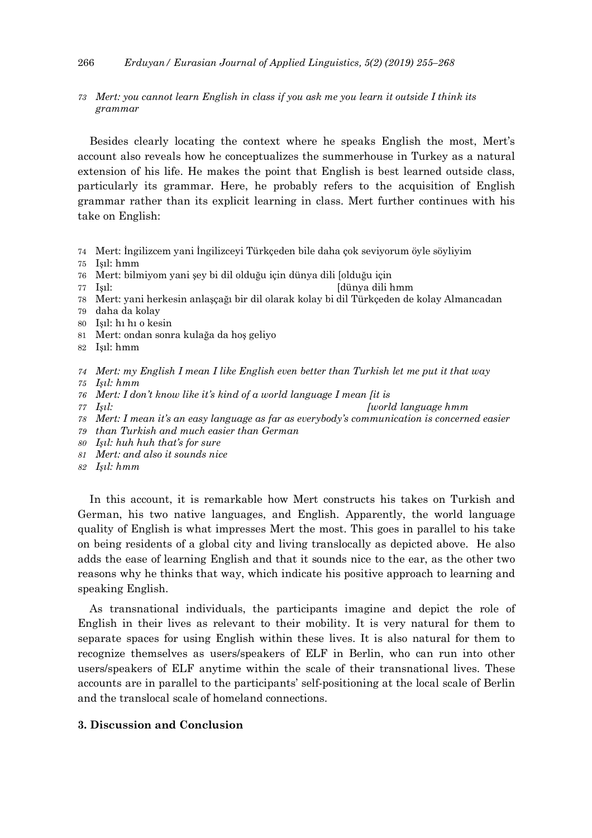## 266 *Erduyan/ Eurasian Journal of Applied Linguistics, 5(2) (2019) 255–268*

# *73 Mert: you cannot learn English in class if you ask me you learn it outside I think its grammar*

Besides clearly locating the context where he speaks English the most, Mert's account also reveals how he conceptualizes the summerhouse in Turkey as a natural extension of his life. He makes the point that English is best learned outside class, particularly its grammar. Here, he probably refers to the acquisition of English grammar rather than its explicit learning in class. Mert further continues with his take on English:

- 74 Mert: İngilizcem yani İngilizceyi Türkçeden bile daha çok seviyorum öyle söyliyim
- 75 Işıl: hmm
- 76 Mert: bilmiyom yani şey bi dil olduğu için dünya dili [olduğu için
- 77 Işıl: [dünya dili hmm
- 78 Mert: yani herkesin anlaşçağı bir dil olarak kolay bi dil Türkçeden de kolay Almancadan
- 79 daha da kolay
- 80 Işıl: hı hı o kesin
- 81 Mert: ondan sonra kulağa da hoş geliyo
- 82 Işıl: hmm
- *74 Mert: my English I mean I like English even better than Turkish let me put it that way*
- *75 Işıl: hmm*
- *76 Mert: I don't know like it's kind of a world language I mean [it is*
- *77 Işıl: [world language hmm*
- *78 Mert: I mean it's an easy language as far as everybody's communication is concerned easier*
- *79 than Turkish and much easier than German*
- *80 Işıl: huh huh that's for sure*
- *81 Mert: and also it sounds nice*
- *82 Işıl: hmm*

In this account, it is remarkable how Mert constructs his takes on Turkish and German, his two native languages, and English. Apparently, the world language quality of English is what impresses Mert the most. This goes in parallel to his take on being residents of a global city and living translocally as depicted above. He also adds the ease of learning English and that it sounds nice to the ear, as the other two reasons why he thinks that way, which indicate his positive approach to learning and speaking English.

As transnational individuals, the participants imagine and depict the role of English in their lives as relevant to their mobility. It is very natural for them to separate spaces for using English within these lives. It is also natural for them to recognize themselves as users/speakers of ELF in Berlin, who can run into other users/speakers of ELF anytime within the scale of their transnational lives. These accounts are in parallel to the participants' self-positioning at the local scale of Berlin and the translocal scale of homeland connections.

# **3. Discussion and Conclusion**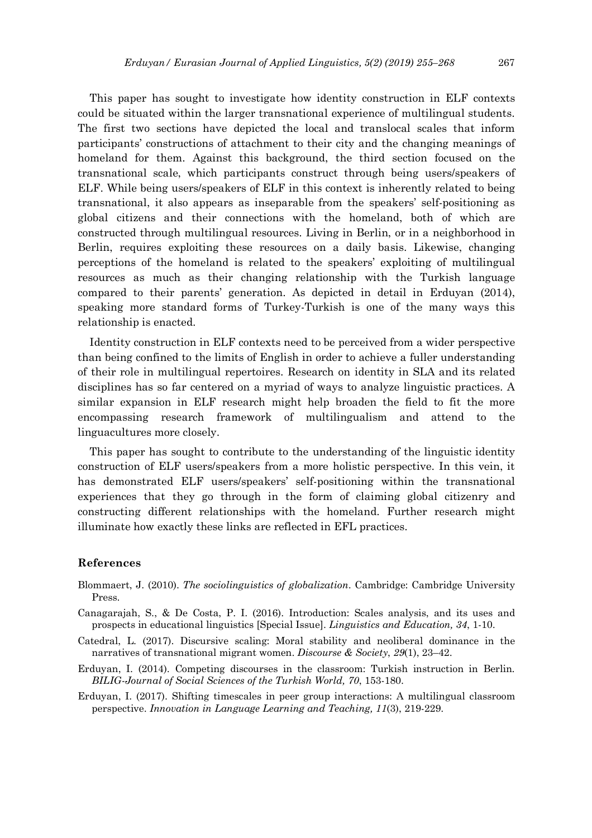This paper has sought to investigate how identity construction in ELF contexts could be situated within the larger transnational experience of multilingual students. The first two sections have depicted the local and translocal scales that inform participants' constructions of attachment to their city and the changing meanings of homeland for them. Against this background, the third section focused on the transnational scale, which participants construct through being users/speakers of ELF. While being users/speakers of ELF in this context is inherently related to being transnational, it also appears as inseparable from the speakers' self-positioning as global citizens and their connections with the homeland, both of which are constructed through multilingual resources. Living in Berlin, or in a neighborhood in Berlin, requires exploiting these resources on a daily basis. Likewise, changing perceptions of the homeland is related to the speakers' exploiting of multilingual resources as much as their changing relationship with the Turkish language compared to their parents' generation. As depicted in detail in Erduyan (2014), speaking more standard forms of Turkey-Turkish is one of the many ways this relationship is enacted.

Identity construction in ELF contexts need to be perceived from a wider perspective than being confined to the limits of English in order to achieve a fuller understanding of their role in multilingual repertoires. Research on identity in SLA and its related disciplines has so far centered on a myriad of ways to analyze linguistic practices. A similar expansion in ELF research might help broaden the field to fit the more encompassing research framework of multilingualism and attend to the linguacultures more closely.

This paper has sought to contribute to the understanding of the linguistic identity construction of ELF users/speakers from a more holistic perspective. In this vein, it has demonstrated ELF users/speakers' self-positioning within the transnational experiences that they go through in the form of claiming global citizenry and constructing different relationships with the homeland. Further research might illuminate how exactly these links are reflected in EFL practices.

# **References**

- Blommaert, J. (2010). *The sociolinguistics of globalization*. Cambridge: Cambridge University Press.
- Canagarajah, S., & De Costa, P. I. (2016). Introduction: Scales analysis, and its uses and prospects in educational linguistics [Special Issue]. *Linguistics and Education, 34*, 1-10.
- Catedral, L. (2017). Discursive scaling: Moral stability and neoliberal dominance in the narratives of transnational migrant women. *Discourse & Society*, *29*(1), 23–42.
- Erduyan, I. (2014). Competing discourses in the classroom: Turkish instruction in Berlin*. BILIG-Journal of Social Sciences of the Turkish World, 70*, 153-180.
- Erduyan, I. (2017). Shifting timescales in peer group interactions: A multilingual classroom perspective. *Innovation in Language Learning and Teaching, 11*(3), 219-229.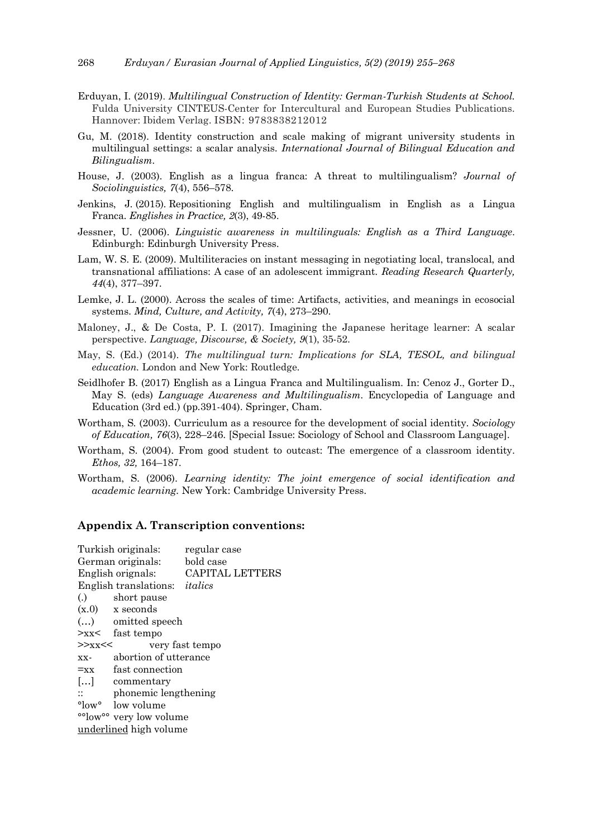- Erduyan, I. (2019). *Multilingual Construction of Identity: German-Turkish Students at School.*  Fulda University CINTEUS-Center for Intercultural and European Studies Publications. Hannover: Ibidem Verlag. ISBN: 9783838212012
- Gu, M. (2018). Identity construction and scale making of migrant university students in multilingual settings: a scalar analysis. *International Journal of Bilingual Education and Bilingualism*.
- House, J. (2003). English as a lingua franca: A threat to multilingualism? *Journal of Sociolinguistics, 7*(4), 556–578.
- Jenkins, J. (2015). Repositioning English and multilingualism in English as a Lingua Franca. *Englishes in Practice, 2*(3), 49-85.
- Jessner, U. (2006). *Linguistic awareness in multilinguals: English as a Third Language*. Edinburgh: Edinburgh University Press.
- Lam, W. S. E. (2009). Multiliteracies on instant messaging in negotiating local, translocal, and transnational affiliations: A case of an adolescent immigrant. *Reading Research Quarterly, 44*(4), 377–397.
- Lemke, J. L. (2000). Across the scales of time: Artifacts, activities, and meanings in ecosocial systems. *Mind, Culture, and Activity, 7*(4), 273–290.
- Maloney, J., & De Costa, P. I. (2017). Imagining the Japanese heritage learner: A scalar perspective. *Language, Discourse, & Society, 9*(1), 35-52.
- May, S. (Ed.) (2014). *The multilingual turn: Implications for SLA, TESOL, and bilingual education.* London and New York: Routledge.
- Seidlhofer B. (2017) English as a Lingua Franca and Multilingualism. In: Cenoz J., Gorter D., May S. (eds) *Language Awareness and Multilingualism*. Encyclopedia of Language and Education (3rd ed.) (pp.391-404). Springer, Cham.
- Wortham, S. (2003). Curriculum as a resource for the development of social identity. *Sociology of Education, 76*(3), 228–246. [Special Issue: Sociology of School and Classroom Language].
- Wortham, S. (2004). From good student to outcast: The emergence of a classroom identity. *Ethos, 32,* 164–187.
- Wortham, S. (2006). *Learning identity: The joint emergence of social identification and academic learning.* New York: Cambridge University Press.

## **Appendix A. Transcription conventions:**

| Turkish originals:                   |                                   | regular case           |
|--------------------------------------|-----------------------------------|------------------------|
| German originals:                    |                                   | bold case              |
| English orignals:                    |                                   | <b>CAPITAL LETTERS</b> |
| English translations: <i>italics</i> |                                   |                        |
|                                      | (.) short pause                   |                        |
|                                      | $(x.0)$ x seconds                 |                        |
|                                      | $()$ omitted speech               |                        |
|                                      | $\geq$ xx $\lt$ fast tempo        |                        |
| $>>$ xx <<                           |                                   | very fast tempo        |
| XX-                                  | abortion of utterance             |                        |
| $=xx$                                | fast connection                   |                        |
|                                      | [] commentary                     |                        |
|                                      | $\therefore$ phonemic lengthening |                        |
|                                      | $\degree$ low volume              |                        |
| °°low°° very low volume              |                                   |                        |
| underlined high volume               |                                   |                        |